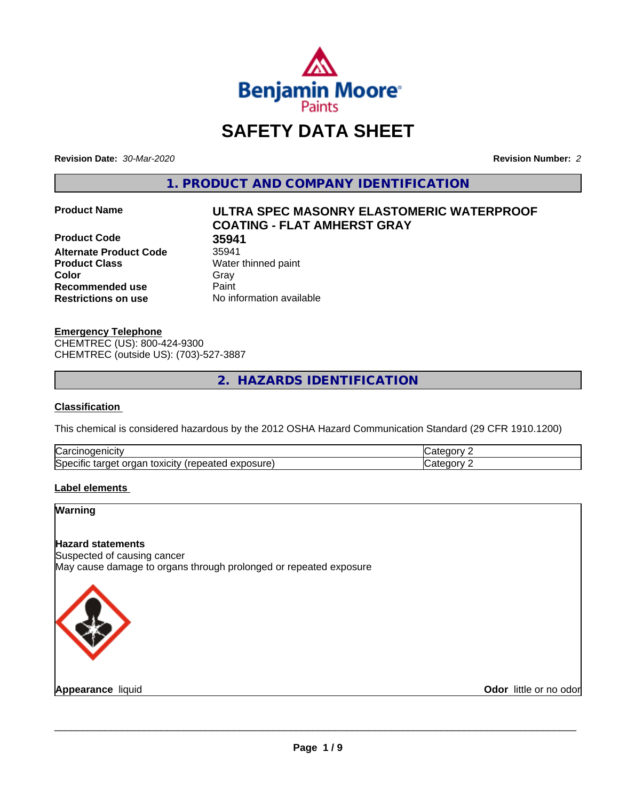

# **SAFETY DATA SHEET**

**Revision Date:** *30-Mar-2020* **Revision Number:** *2*

**1. PRODUCT AND COMPANY IDENTIFICATION**

**Product Code 35941<br>Alternate Product Code 35941 Alternate Product Code Product Class** Water thinned paint **Color** Gray Gray **Recommended use Caint Restrictions on use** No information available

# **Product Name ULTRA SPEC MASONRY ELASTOMERIC WATERPROOF COATING - FLAT AMHERST GRAY**

**Emergency Telephone** CHEMTREC (US): 800-424-9300 CHEMTREC (outside US): (703)-527-3887

**2. HAZARDS IDENTIFICATION**

#### **Classification**

This chemical is considered hazardous by the 2012 OSHA Hazard Communication Standard (29 CFR 1910.1200)

| ∽<br>.<br>√ar∕<br>٠.۱۱                                                                                                                    | '<br>---- |
|-------------------------------------------------------------------------------------------------------------------------------------------|-----------|
| <b>Spec</b><br>$- - - - - -$<br>orgar<br>.<br>.<br>אר<br>`Nei<br>ιΟΧΙCΙτν<br>эню<br>таг<br>∙ ب<br>∙ب∩<br>∼<br>۱۳ اه.<br>ел.<br>voju te pr | '<br>.    |

#### **Label elements**

#### **Warning**

#### **Hazard statements**

Suspected of causing cancer May cause damage to organs through prolonged or repeated exposure



**Appearance** liquid

**Odor** little or no odor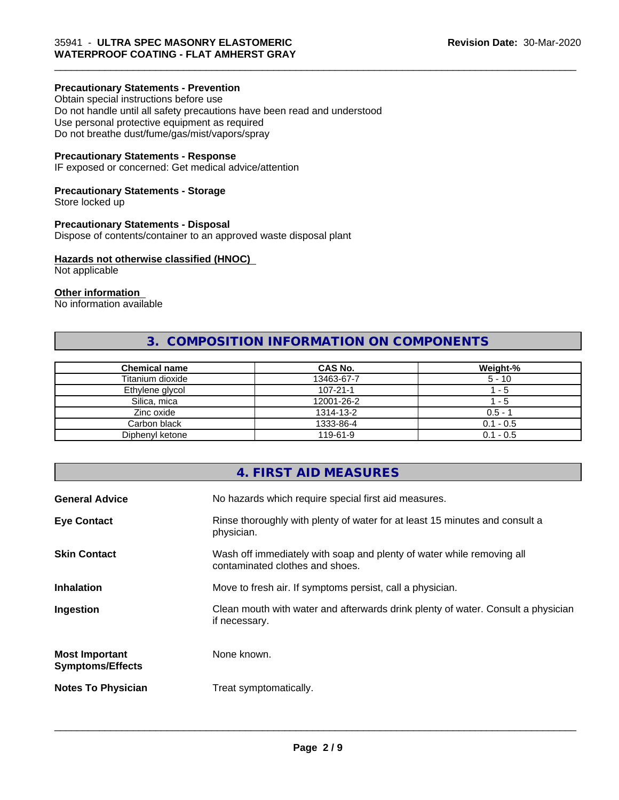#### **Precautionary Statements - Prevention**

Obtain special instructions before use Do not handle until all safety precautions have been read and understood Use personal protective equipment as required Do not breathe dust/fume/gas/mist/vapors/spray

#### **Precautionary Statements - Response**

IF exposed or concerned: Get medical advice/attention

#### **Precautionary Statements - Storage**

Store locked up

#### **Precautionary Statements - Disposal**

Dispose of contents/container to an approved waste disposal plant

#### **Hazards not otherwise classified (HNOC)**

Not applicable

#### **Other information**

No information available

# **3. COMPOSITION INFORMATION ON COMPONENTS**

| <b>Chemical name</b> | <b>CAS No.</b> | Weight-%    |
|----------------------|----------------|-------------|
| Titanium dioxide     | 13463-67-7     | $5 - 10$    |
| Ethylene glycol      | $107 - 21 - 1$ | - 5         |
| Silica, mica         | 12001-26-2     | - 5         |
| Zinc oxide           | 1314-13-2      | $0.5 - 7$   |
| Carbon black         | 1333-86-4      | $0.1 - 0.5$ |
| Diphenyl ketone      | 119-61-9       | $0.1 - 0.5$ |

# **4. FIRST AID MEASURES General Advice** No hazards which require special first aid measures. **Eye Contact Rinse thoroughly with plenty of water for at least 15 minutes and consult a** physician. **Skin Contact** Willem Wash off immediately with soap and plenty of water while removing all contaminated clothes and shoes. **Inhalation** Move to fresh air. If symptoms persist, call a physician. **Ingestion Clean mouth with water and afterwards drink plenty of water. Consult a physician** if necessary. **Most Important Symptoms/Effects** None known. **Notes To Physician** Treat symptomatically.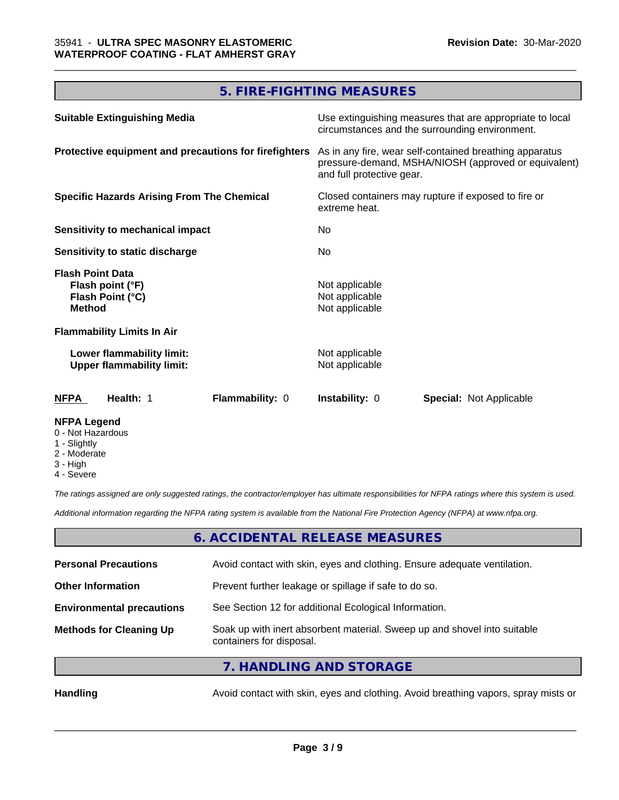# **5. FIRE-FIGHTING MEASURES**

| <b>Suitable Extinguishing Media</b>                                              | Use extinguishing measures that are appropriate to local<br>circumstances and the surrounding environment.                                   |  |  |
|----------------------------------------------------------------------------------|----------------------------------------------------------------------------------------------------------------------------------------------|--|--|
| Protective equipment and precautions for firefighters                            | As in any fire, wear self-contained breathing apparatus<br>pressure-demand, MSHA/NIOSH (approved or equivalent)<br>and full protective gear. |  |  |
| <b>Specific Hazards Arising From The Chemical</b>                                | Closed containers may rupture if exposed to fire or<br>extreme heat.<br>No.<br>No.                                                           |  |  |
| Sensitivity to mechanical impact                                                 |                                                                                                                                              |  |  |
| Sensitivity to static discharge                                                  |                                                                                                                                              |  |  |
| <b>Flash Point Data</b><br>Flash point (°F)<br>Flash Point (°C)<br><b>Method</b> | Not applicable<br>Not applicable<br>Not applicable                                                                                           |  |  |
| <b>Flammability Limits In Air</b>                                                |                                                                                                                                              |  |  |
| Lower flammability limit:<br><b>Upper flammability limit:</b>                    | Not applicable<br>Not applicable                                                                                                             |  |  |
| Health: 1<br><b>Flammability: 0</b><br>NFPA                                      | <b>Instability: 0</b><br><b>Special: Not Applicable</b>                                                                                      |  |  |
| <b>NFPA Legend</b>                                                               |                                                                                                                                              |  |  |

- 0 Not Hazardous
- 1 Slightly
- 2 Moderate
- 3 High
- 4 Severe

*The ratings assigned are only suggested ratings, the contractor/employer has ultimate responsibilities for NFPA ratings where this system is used.*

*Additional information regarding the NFPA rating system is available from the National Fire Protection Agency (NFPA) at www.nfpa.org.*

# **6. ACCIDENTAL RELEASE MEASURES**

| <b>Personal Precautions</b>      | Avoid contact with skin, eyes and clothing. Ensure adequate ventilation.                             |
|----------------------------------|------------------------------------------------------------------------------------------------------|
| <b>Other Information</b>         | Prevent further leakage or spillage if safe to do so.                                                |
| <b>Environmental precautions</b> | See Section 12 for additional Ecological Information.                                                |
| <b>Methods for Cleaning Up</b>   | Soak up with inert absorbent material. Sweep up and shovel into suitable<br>containers for disposal. |
|                                  |                                                                                                      |

**7. HANDLING AND STORAGE**

Handling **Handling** Avoid contact with skin, eyes and clothing. Avoid breathing vapors, spray mists or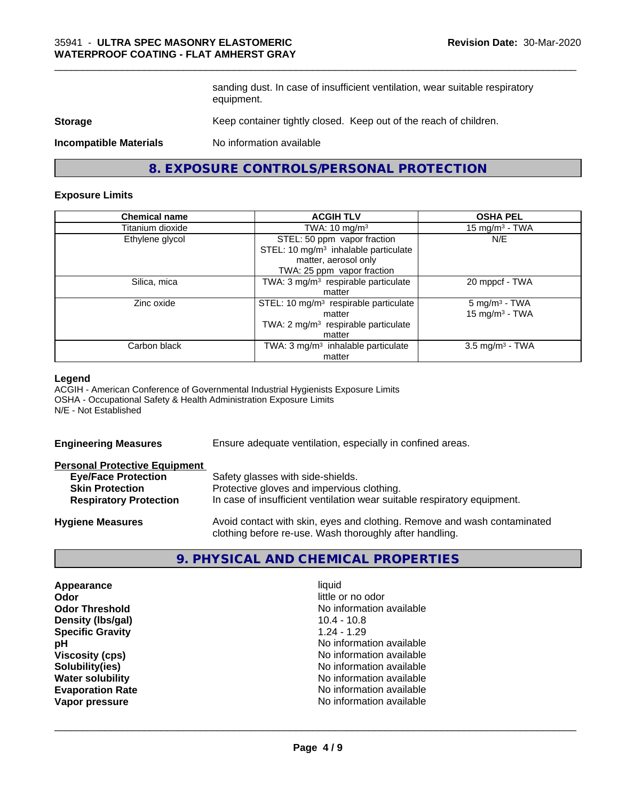sanding dust. In case of insufficient ventilation, wear suitable respiratory equipment.

\_\_\_\_\_\_\_\_\_\_\_\_\_\_\_\_\_\_\_\_\_\_\_\_\_\_\_\_\_\_\_\_\_\_\_\_\_\_\_\_\_\_\_\_\_\_\_\_\_\_\_\_\_\_\_\_\_\_\_\_\_\_\_\_\_\_\_\_\_\_\_\_\_\_\_\_\_\_\_\_\_\_\_\_\_\_\_\_\_\_\_\_\_

#### **Storage** Keep container tightly closed. Keep out of the reach of children.

**Incompatible Materials** No information available

**8. EXPOSURE CONTROLS/PERSONAL PROTECTION**

#### **Exposure Limits**

| <b>Chemical name</b> | <b>ACGIH TLV</b>                                                                                                                      | <b>OSHA PEL</b>                                  |
|----------------------|---------------------------------------------------------------------------------------------------------------------------------------|--------------------------------------------------|
| Titanium dioxide     | TWA: $10 \text{ mg/m}^3$                                                                                                              | 15 mg/m $3$ - TWA                                |
| Ethylene glycol      | STEL: 50 ppm vapor fraction<br>STEL: 10 mg/m <sup>3</sup> inhalable particulate<br>matter, aerosol only<br>TWA: 25 ppm vapor fraction | N/E                                              |
| Silica, mica         | TWA: 3 mg/m <sup>3</sup> respirable particulate<br>matter                                                                             | 20 mppcf - TWA                                   |
| Zinc oxide           | STEL: 10 mg/m <sup>3</sup> respirable particulate<br>matter<br>TWA: $2 \text{ mg/m}^3$ respirable particulate<br>matter               | $5$ mg/m <sup>3</sup> - TWA<br>15 mg/m $3$ - TWA |
| Carbon black         | TWA: 3 mg/m <sup>3</sup> inhalable particulate<br>matter                                                                              | $3.5$ mg/m <sup>3</sup> - TWA                    |

#### **Legend**

ACGIH - American Conference of Governmental Industrial Hygienists Exposure Limits OSHA - Occupational Safety & Health Administration Exposure Limits N/E - Not Established

| <b>Engineering Measures</b>          | Ensure adequate ventilation, especially in confined areas.               |  |  |
|--------------------------------------|--------------------------------------------------------------------------|--|--|
| <b>Personal Protective Equipment</b> |                                                                          |  |  |
| <b>Eye/Face Protection</b>           | Safety glasses with side-shields.                                        |  |  |
| <b>Skin Protection</b>               | Protective gloves and impervious clothing.                               |  |  |
| <b>Respiratory Protection</b>        | In case of insufficient ventilation wear suitable respiratory equipment. |  |  |
| <b>Hygiene Measures</b>              | Avoid contact with skin, eyes and clothing. Remove and wash contaminated |  |  |

### **9. PHYSICAL AND CHEMICAL PROPERTIES**

clothing before re-use. Wash thoroughly after handling.

**Appearance** liquid **Odor** little or no odor **Density (lbs/gal)** 10.4 - 10.8 **Specific Gravity** 1.24 - 1.29

**Odor Threshold No information available No information available pH pH**  $\blacksquare$ **Viscosity (cps)** No information available **Solubility(ies)**<br> **No** information available<br> **Water solubility**<br> **Water solubility No information available Evaporation Rate Evaporation Rate No information available Vapor pressure** No information available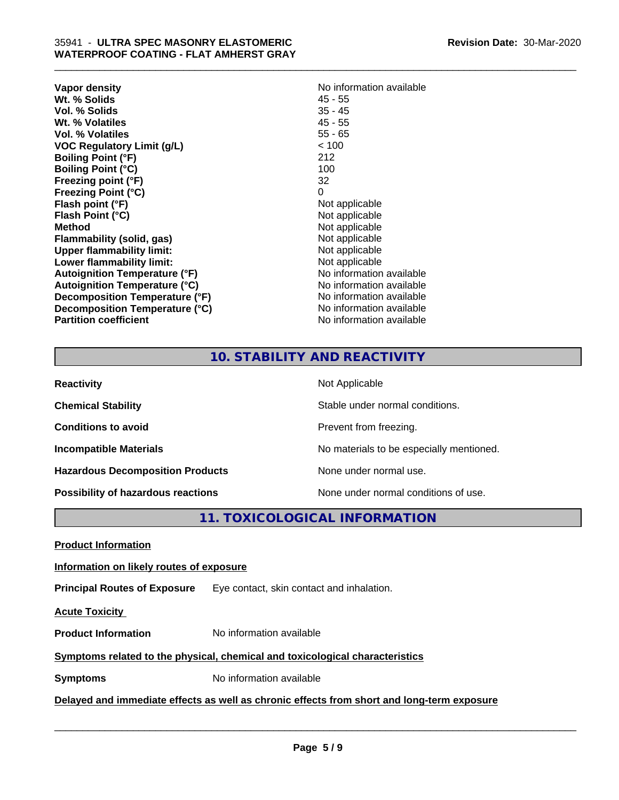| <b>Vapor density</b>                 | No information available |
|--------------------------------------|--------------------------|
| Wt. % Solids                         | 45 - 55                  |
| Vol. % Solids                        | $35 - 45$                |
| Wt. % Volatiles                      | $45 - 55$                |
| Vol. % Volatiles                     | $55 - 65$                |
| VOC Regulatory Limit (g/L)           | < 100                    |
| <b>Boiling Point (°F)</b>            | 212                      |
| <b>Boiling Point (°C)</b>            | 100                      |
| Freezing point (°F)                  | 32                       |
| <b>Freezing Point (°C)</b>           | 0                        |
| Flash point (°F)                     | Not applicable           |
| Flash Point (°C)                     | Not applicable           |
| <b>Method</b>                        | Not applicable           |
| Flammability (solid, gas)            | Not applicable           |
| <b>Upper flammability limit:</b>     | Not applicable           |
| Lower flammability limit:            | Not applicable           |
| Autoignition Temperature (°F)        | No information available |
| <b>Autoignition Temperature (°C)</b> | No information available |
| Decomposition Temperature (°F)       | No information available |
| Decomposition Temperature (°C)       | No information available |
| <b>Partition coefficient</b>         | No information available |

# **10. STABILITY AND REACTIVITY**

\_\_\_\_\_\_\_\_\_\_\_\_\_\_\_\_\_\_\_\_\_\_\_\_\_\_\_\_\_\_\_\_\_\_\_\_\_\_\_\_\_\_\_\_\_\_\_\_\_\_\_\_\_\_\_\_\_\_\_\_\_\_\_\_\_\_\_\_\_\_\_\_\_\_\_\_\_\_\_\_\_\_\_\_\_\_\_\_\_\_\_\_\_

| <b>Reactivity</b>                         | Not Applicable                           |
|-------------------------------------------|------------------------------------------|
| <b>Chemical Stability</b>                 | Stable under normal conditions.          |
| <b>Conditions to avoid</b>                | Prevent from freezing.                   |
| <b>Incompatible Materials</b>             | No materials to be especially mentioned. |
| <b>Hazardous Decomposition Products</b>   | None under normal use.                   |
| <b>Possibility of hazardous reactions</b> | None under normal conditions of use.     |

**11. TOXICOLOGICAL INFORMATION**

**Product Information**

### **Information on likely routes of exposure**

**Principal Routes of Exposure** Eye contact, skin contact and inhalation.

**Acute Toxicity** 

**Product Information** No information available

# **Symptoms related to the physical,chemical and toxicological characteristics**

**Symptoms** No information available

**Delayed and immediate effects as well as chronic effects from short and long-term exposure**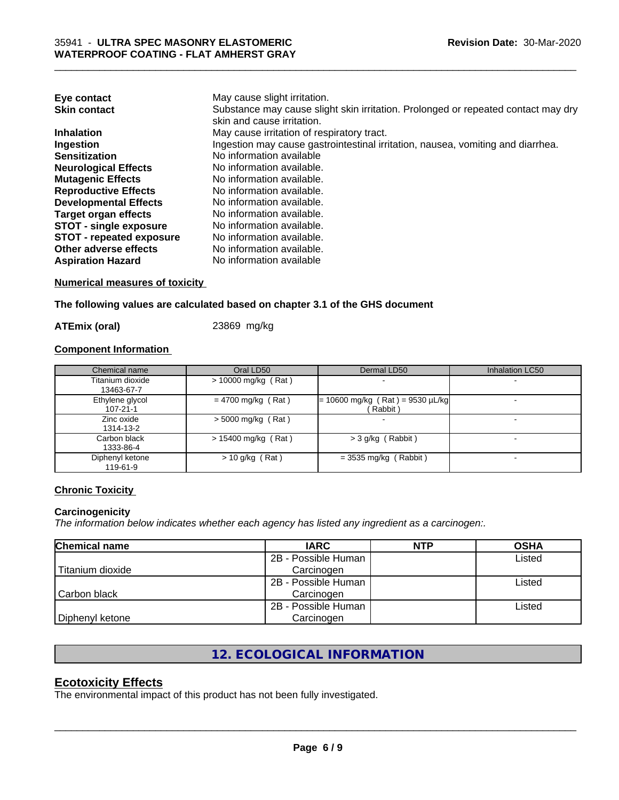| Eye contact                     | May cause slight irritation.                                                      |
|---------------------------------|-----------------------------------------------------------------------------------|
| <b>Skin contact</b>             | Substance may cause slight skin irritation. Prolonged or repeated contact may dry |
|                                 | skin and cause irritation.                                                        |
| <b>Inhalation</b>               | May cause irritation of respiratory tract.                                        |
| Ingestion                       | Ingestion may cause gastrointestinal irritation, nausea, vomiting and diarrhea.   |
| <b>Sensitization</b>            | No information available                                                          |
| <b>Neurological Effects</b>     | No information available.                                                         |
| <b>Mutagenic Effects</b>        | No information available.                                                         |
| <b>Reproductive Effects</b>     | No information available.                                                         |
| <b>Developmental Effects</b>    | No information available.                                                         |
| Target organ effects            | No information available.                                                         |
| <b>STOT - single exposure</b>   | No information available.                                                         |
| <b>STOT - repeated exposure</b> | No information available.                                                         |
| Other adverse effects           | No information available.                                                         |
| <b>Aspiration Hazard</b>        | No information available                                                          |

\_\_\_\_\_\_\_\_\_\_\_\_\_\_\_\_\_\_\_\_\_\_\_\_\_\_\_\_\_\_\_\_\_\_\_\_\_\_\_\_\_\_\_\_\_\_\_\_\_\_\_\_\_\_\_\_\_\_\_\_\_\_\_\_\_\_\_\_\_\_\_\_\_\_\_\_\_\_\_\_\_\_\_\_\_\_\_\_\_\_\_\_\_

**Numerical measures of toxicity**

**The following values are calculated based on chapter 3.1 of the GHS document**

**ATEmix (oral)** 23869 mg/kg

# **Component Information**

| Chemical name                     | Oral LD50             | Dermal LD50                                   | <b>Inhalation LC50</b> |
|-----------------------------------|-----------------------|-----------------------------------------------|------------------------|
| Titanium dioxide<br>13463-67-7    | > 10000 mg/kg (Rat)   |                                               |                        |
| Ethylene glycol<br>$107 - 21 - 1$ | $= 4700$ mg/kg (Rat)  | $= 10600$ mg/kg (Rat) = 9530 µL/kg<br>Rabbit) |                        |
| Zinc oxide<br>1314-13-2           | $> 5000$ mg/kg (Rat)  |                                               |                        |
| Carbon black<br>1333-86-4         | $> 15400$ mg/kg (Rat) | $>$ 3 g/kg (Rabbit)                           |                        |
| Diphenyl ketone<br>119-61-9       | $> 10$ g/kg (Rat)     | $=$ 3535 mg/kg (Rabbit)                       |                        |

### **Chronic Toxicity**

#### **Carcinogenicity**

*The information below indicateswhether each agency has listed any ingredient as a carcinogen:.*

| <b>Chemical name</b> | <b>IARC</b>         | <b>NTP</b> | <b>OSHA</b> |
|----------------------|---------------------|------------|-------------|
|                      | 2B - Possible Human |            | Listed      |
| Titanium dioxide     | Carcinogen          |            |             |
|                      | 2B - Possible Human |            | Listed      |
| Carbon black         | Carcinogen          |            |             |
|                      | 2B - Possible Human |            | Listed      |
| Diphenyl ketone      | Carcinogen          |            |             |

# **12. ECOLOGICAL INFORMATION**

# **Ecotoxicity Effects**

The environmental impact of this product has not been fully investigated.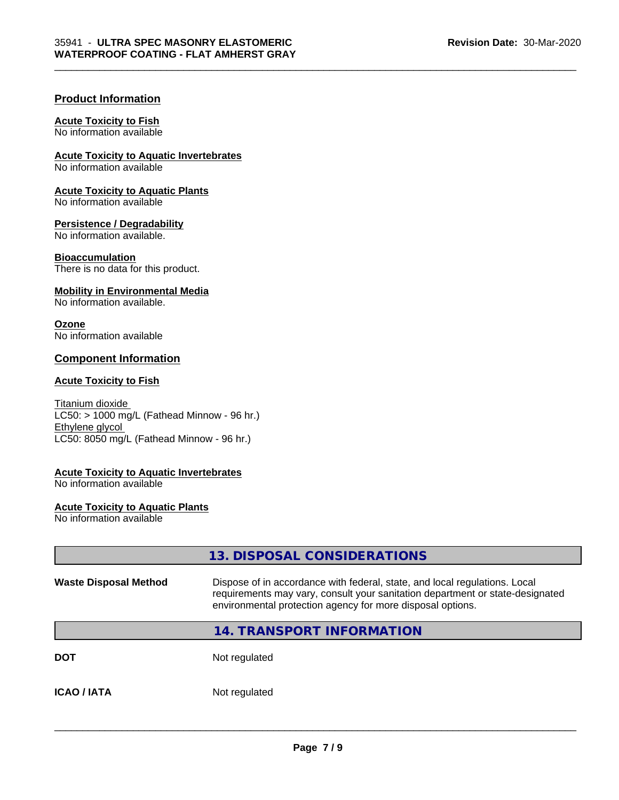#### **Product Information**

#### **Acute Toxicity to Fish**

No information available

**Acute Toxicity to Aquatic Invertebrates**

No information available

**Acute Toxicity to Aquatic Plants** No information available

**Persistence / Degradability**

No information available.

**Bioaccumulation**

There is no data for this product.

#### **Mobility in Environmental Media**

No information available.

#### **Ozone**

No information available

#### **Component Information**

#### **Acute Toxicity to Fish**

Titanium dioxide  $LC50:$  > 1000 mg/L (Fathead Minnow - 96 hr.) Ethylene glycol LC50: 8050 mg/L (Fathead Minnow - 96 hr.)

#### **Acute Toxicity to Aquatic Invertebrates**

No information available

#### **Acute Toxicity to Aquatic Plants**

No information available

# **13. DISPOSAL CONSIDERATIONS Waste Disposal Method** Dispose of in accordance with federal, state, and local regulations. Local

\_\_\_\_\_\_\_\_\_\_\_\_\_\_\_\_\_\_\_\_\_\_\_\_\_\_\_\_\_\_\_\_\_\_\_\_\_\_\_\_\_\_\_\_\_\_\_\_\_\_\_\_\_\_\_\_\_\_\_\_\_\_\_\_\_\_\_\_\_\_\_\_\_\_\_\_\_\_\_\_\_\_\_\_\_\_\_\_\_\_\_\_\_

requirements may vary, consult your sanitation department or state-designated environmental protection agency for more disposal options.

#### **14. TRANSPORT INFORMATION**

**DOT** Not regulated

**ICAO / IATA** Not regulated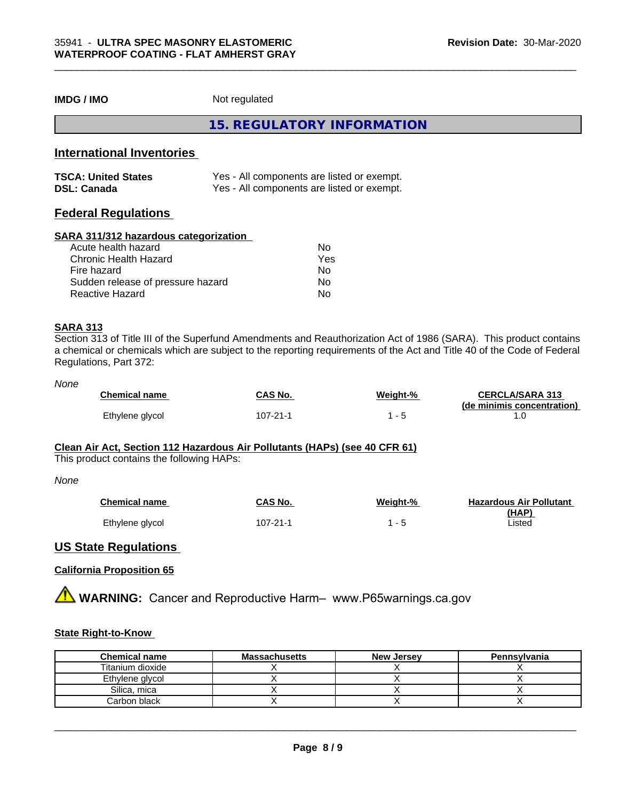#### **IMDG / IMO** Not regulated

**15. REGULATORY INFORMATION**

### **International Inventories**

| <b>TSCA: United States</b> | Yes - All components are listed or exempt. |
|----------------------------|--------------------------------------------|
| <b>DSL: Canada</b>         | Yes - All components are listed or exempt. |

## **Federal Regulations**

#### **SARA 311/312 hazardous categorization**

| Acute health hazard               | Nο  |  |
|-----------------------------------|-----|--|
| Chronic Health Hazard             | Yes |  |
| Fire hazard                       | Nο  |  |
| Sudden release of pressure hazard | Nο  |  |
| Reactive Hazard                   | Nο  |  |

#### **SARA 313**

Section 313 of Title III of the Superfund Amendments and Reauthorization Act of 1986 (SARA). This product contains a chemical or chemicals which are subject to the reporting requirements of the Act and Title 40 of the Code of Federal Regulations, Part 372:

#### *None*

| <b>Chemical name</b> | CAS No.  | Weight-% | <b>CERCLA/SARA 313</b><br>(de minimis concentration) |
|----------------------|----------|----------|------------------------------------------------------|
| Ethylene glycol      | 107-21-1 |          |                                                      |

#### **Clean Air Act,Section 112 Hazardous Air Pollutants (HAPs) (see 40 CFR 61)**

This product contains the following HAPs:

#### *None*

| <b>Chemical name</b> | CAS No.  | Weight-% | <b>Hazardous Air Pollutant</b> |
|----------------------|----------|----------|--------------------------------|
|                      |          |          | (HAP'                          |
| Ethylene glycol      | 107-21-1 |          | Listed                         |

#### **US State Regulations**

#### **California Proposition 65**

**AVIMARNING:** Cancer and Reproductive Harm– www.P65warnings.ca.gov

#### **State Right-to-Know**

| <b>Chemical name</b> | <b>Massachusetts</b> | <b>New Jersey</b> | Pennsylvania |
|----------------------|----------------------|-------------------|--------------|
| Titanium dioxide     |                      |                   |              |
| Ethylene glycol      |                      |                   |              |
| Silica. mica         |                      |                   |              |
| Carbon black         |                      |                   |              |